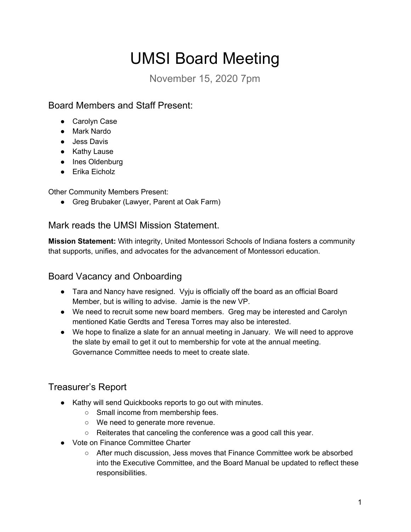# UMSI Board Meeting

November 15, 2020 7pm

## Board Members and Staff Present:

- Carolyn Case
- Mark Nardo
- Jess Davis
- Kathy Lause
- Ines Oldenburg
- Erika Eicholz

Other Community Members Present:

• Greg Brubaker (Lawyer, Parent at Oak Farm)

#### Mark reads the UMSI Mission Statement.

**Mission Statement:** With integrity, United Montessori Schools of Indiana fosters a community that supports, unifies, and advocates for the advancement of Montessori education.

### Board Vacancy and Onboarding

- Tara and Nancy have resigned. Vyju is officially off the board as an official Board Member, but is willing to advise. Jamie is the new VP.
- We need to recruit some new board members. Greg may be interested and Carolyn mentioned Katie Gerdts and Teresa Torres may also be interested.
- We hope to finalize a slate for an annual meeting in January. We will need to approve the slate by email to get it out to membership for vote at the annual meeting. Governance Committee needs to meet to create slate.

## Treasurer's Report

- Kathy will send Quickbooks reports to go out with minutes.
	- Small income from membership fees.
	- We need to generate more revenue.
	- Reiterates that canceling the conference was a good call this year.
- Vote on Finance Committee Charter
	- After much discussion, Jess moves that Finance Committee work be absorbed into the Executive Committee, and the Board Manual be updated to reflect these responsibilities.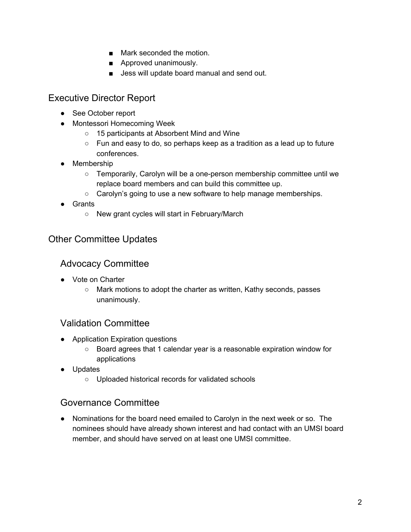- Mark seconded the motion.
- Approved unanimously.
- Jess will update board manual and send out.

#### Executive Director Report

- See October report
- Montessori Homecoming Week
	- 15 participants at Absorbent Mind and Wine
	- Fun and easy to do, so perhaps keep as a tradition as a lead up to future conferences.
- Membership
	- Temporarily, Carolyn will be a one-person membership committee until we replace board members and can build this committee up.
	- Carolyn's going to use a new software to help manage memberships.
- Grants
	- New grant cycles will start in February/March

#### Other Committee Updates

#### Advocacy Committee

- Vote on Charter
	- Mark motions to adopt the charter as written, Kathy seconds, passes unanimously.

#### Validation Committee

- Application Expiration questions
	- Board agrees that 1 calendar year is a reasonable expiration window for applications
- Updates
	- Uploaded historical records for validated schools

#### Governance Committee

● Nominations for the board need emailed to Carolyn in the next week or so. The nominees should have already shown interest and had contact with an UMSI board member, and should have served on at least one UMSI committee.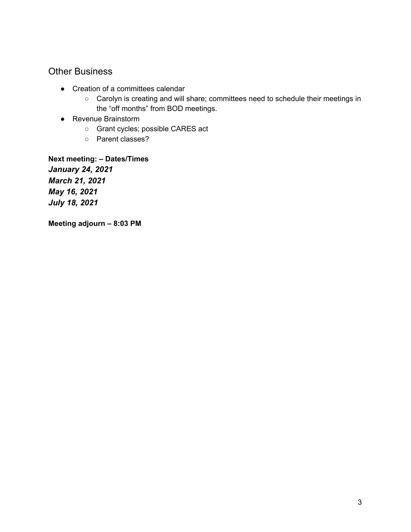#### Other Business

- Creation of a committees calendar
	- Carolyn is creating and will share; committees need to schedule their meetings in the "off months" from BOD meetings.
- Revenue Brainstorm
	- Grant cycles; possible CARES act
	- Parent classes?

**Next meeting: – Dates/Times** *January 24, 2021 March 21, 2021 May 16, 2021 July 18, 2021*

**Meeting adjourn – 8:03 PM**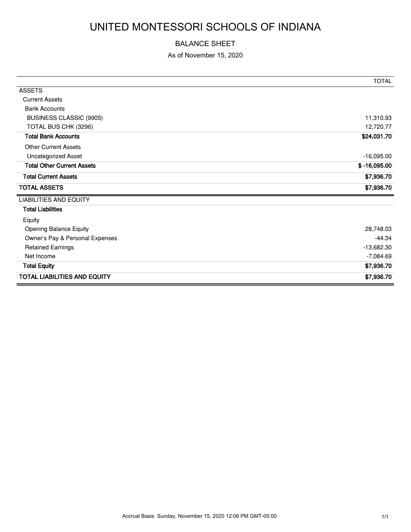# UNITED MONTESSORI SCHOOLS OF INDIANA

#### BALANCE SHEET

As of November 15, 2020

|                                     | <b>TOTAL</b>   |
|-------------------------------------|----------------|
| <b>ASSETS</b>                       |                |
| <b>Current Assets</b>               |                |
| <b>Bank Accounts</b>                |                |
| BUSINESS CLASSIC (9905)             | 11,310.93      |
| TOTAL BUS CHK (3296)                | 12,720.77      |
| <b>Total Bank Accounts</b>          | \$24,031.70    |
| <b>Other Current Assets</b>         |                |
| <b>Uncategorized Asset</b>          | $-16,095.00$   |
| <b>Total Other Current Assets</b>   | $$ -16,095.00$ |
| <b>Total Current Assets</b>         | \$7,936.70     |
| <b>TOTAL ASSETS</b>                 | \$7,936.70     |
| <b>LIABILITIES AND EQUITY</b>       |                |
| <b>Total Liabilities</b>            |                |
| Equity                              |                |
| <b>Opening Balance Equity</b>       | 28,748.03      |
| Owner's Pay & Personal Expenses     | -44.34         |
| <b>Retained Earnings</b>            | $-13,682.30$   |
| Net Income                          | $-7,084.69$    |
| <b>Total Equity</b>                 | \$7,936.70     |
| <b>TOTAL LIABILITIES AND EQUITY</b> | \$7,936.70     |